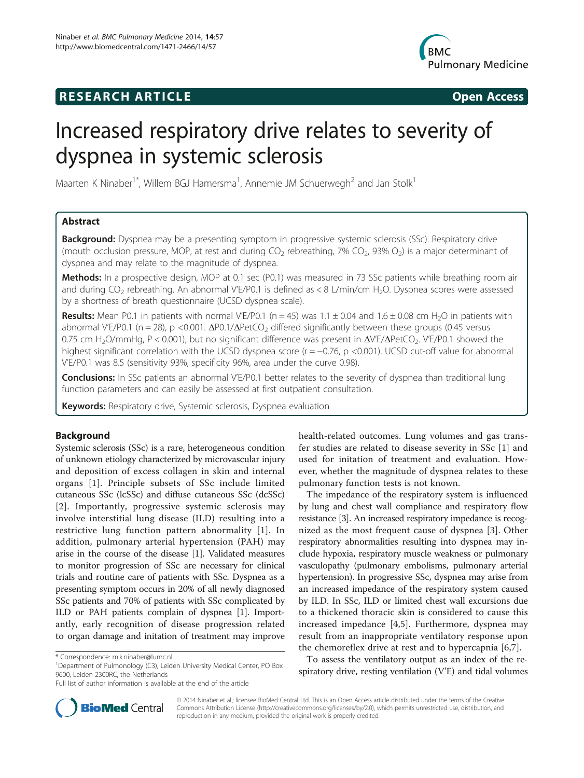# **RESEARCH ARTICLE Example 2018 CONSIDERING CONSIDERING CONSIDERING CONSIDERING CONSIDERING CONSIDERING CONSIDERING CONSIDERING CONSIDERING CONSIDERING CONSIDERING CONSIDERING CONSIDERING CONSIDERING CONSIDERING CONSIDE**



# Increased respiratory drive relates to severity of dyspnea in systemic sclerosis

Maarten K Ninaber<sup>1\*</sup>, Willem BGJ Hamersma<sup>1</sup>, Annemie JM Schuerwegh<sup>2</sup> and Jan Stolk<sup>1</sup>

# Abstract

**Background:** Dyspnea may be a presenting symptom in progressive systemic sclerosis (SSc). Respiratory drive (mouth occlusion pressure, MOP, at rest and during  $CO_2$  rebreathing, 7%  $CO_2$ , 93%  $O_2$ ) is a major determinant of dyspnea and may relate to the magnitude of dyspnea.

Methods: In a prospective design, MOP at 0.1 sec (P0.1) was measured in 73 SSc patients while breathing room air and during  $CO<sub>2</sub>$  rebreathing. An abnormal V'E/P0.1 is defined as < 8 L/min/cm H<sub>2</sub>O. Dyspnea scores were assessed by a shortness of breath questionnaire (UCSD dyspnea scale).

Results: Mean P0.1 in patients with normal V'E/P0.1 (n = 45) was  $1.1 \pm 0.04$  and  $1.6 \pm 0.08$  cm H<sub>2</sub>O in patients with abnormal V'E/P0.1 (n = 28), p <0.001. ΔP0.1/ΔPetCO<sub>2</sub> differed significantly between these groups (0.45 versus 0.75 cm H<sub>2</sub>O/mmHg, P < 0.001), but no significant difference was present in ΔV<sup>'</sup>E/ΔPetCO<sub>2</sub>. V'E/P0.1 showed the highest significant correlation with the UCSD dyspnea score (r = −0.76, p <0.001). UCSD cut-off value for abnormal V'E/P0.1 was 8.5 (sensitivity 93%, specificity 96%, area under the curve 0.98).

**Conclusions:** In SSc patients an abnormal V'E/P0.1 better relates to the severity of dyspnea than traditional lung function parameters and can easily be assessed at first outpatient consultation.

Keywords: Respiratory drive, Systemic sclerosis, Dyspnea evaluation

# Background

Systemic sclerosis (SSc) is a rare, heterogeneous condition of unknown etiology characterized by microvascular injury and deposition of excess collagen in skin and internal organs [[1\]](#page-5-0). Principle subsets of SSc include limited cutaneous SSc (lcSSc) and diffuse cutaneous SSc (dcSSc) [[2](#page-5-0)]. Importantly, progressive systemic sclerosis may involve interstitial lung disease (ILD) resulting into a restrictive lung function pattern abnormality [[1\]](#page-5-0). In addition, pulmonary arterial hypertension (PAH) may arise in the course of the disease [[1\]](#page-5-0). Validated measures to monitor progression of SSc are necessary for clinical trials and routine care of patients with SSc. Dyspnea as a presenting symptom occurs in 20% of all newly diagnosed SSc patients and 70% of patients with SSc complicated by ILD or PAH patients complain of dyspnea [[1](#page-5-0)]. Importantly, early recognition of disease progression related to organ damage and initation of treatment may improve

health-related outcomes. Lung volumes and gas transfer studies are related to disease severity in SSc [[1\]](#page-5-0) and used for initation of treatment and evaluation. However, whether the magnitude of dyspnea relates to these pulmonary function tests is not known.

The impedance of the respiratory system is influenced by lung and chest wall compliance and respiratory flow resistance [\[3](#page-5-0)]. An increased respiratory impedance is recognized as the most frequent cause of dyspnea [[3\]](#page-5-0). Other respiratory abnormalities resulting into dyspnea may include hypoxia, respiratory muscle weakness or pulmonary vasculopathy (pulmonary embolisms, pulmonary arterial hypertension). In progressive SSc, dyspnea may arise from an increased impedance of the respiratory system caused by ILD. In SSc, ILD or limited chest wall excursions due to a thickened thoracic skin is considered to cause this increased impedance [\[4](#page-5-0),[5\]](#page-5-0). Furthermore, dyspnea may result from an inappropriate ventilatory response upon the chemoreflex drive at rest and to hypercapnia [\[6](#page-5-0),[7\]](#page-5-0).

To assess the ventilatory output as an index of the respiratory drive, resting ventilation (V'E) and tidal volumes



© 2014 Ninaber et al.; licensee BioMed Central Ltd. This is an Open Access article distributed under the terms of the Creative Commons Attribution License [\(http://creativecommons.org/licenses/by/2.0\)](http://creativecommons.org/licenses/by/2.0), which permits unrestricted use, distribution, and reproduction in any medium, provided the original work is properly credited.

<sup>\*</sup> Correspondence: [m.k.ninaber@lumc.nl](mailto:m.k.ninaber@lumc.nl) <sup>1</sup>

<sup>&</sup>lt;sup>1</sup>Department of Pulmonology (C3), Leiden University Medical Center, PO Box 9600, Leiden 2300RC, the Netherlands

Full list of author information is available at the end of the article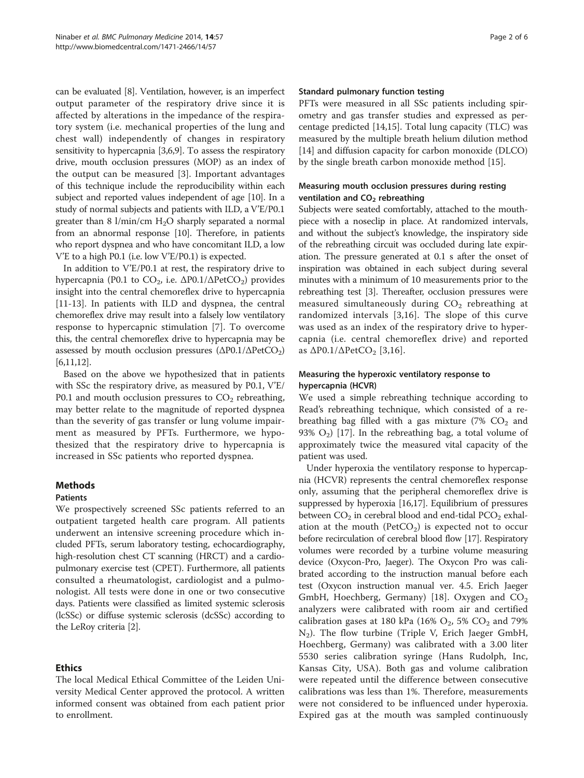can be evaluated [[8\]](#page-5-0). Ventilation, however, is an imperfect output parameter of the respiratory drive since it is affected by alterations in the impedance of the respiratory system (i.e. mechanical properties of the lung and chest wall) independently of changes in respiratory sensitivity to hypercapnia [\[3,6,9\]](#page-5-0). To assess the respiratory drive, mouth occlusion pressures (MOP) as an index of the output can be measured [[3\]](#page-5-0). Important advantages of this technique include the reproducibility within each subject and reported values independent of age [\[10\]](#page-5-0). In a study of normal subjects and patients with ILD, a V'E/P0.1 greater than 8 l/min/cm  $H_2O$  sharply separated a normal from an abnormal response [[10](#page-5-0)]. Therefore, in patients who report dyspnea and who have concomitant ILD, a low V'E to a high P0.1 (i.e. low V'E/P0.1) is expected.

In addition to V'E/P0.1 at rest, the respiratory drive to hypercapnia (P0.1 to  $CO_2$ , i.e.  $ΔP0.1/ΔPetCO_2$ ) provides insight into the central chemoreflex drive to hypercapnia [[11-13](#page-5-0)]. In patients with ILD and dyspnea, the central chemoreflex drive may result into a falsely low ventilatory response to hypercapnic stimulation [\[7](#page-5-0)]. To overcome this, the central chemoreflex drive to hypercapnia may be assessed by mouth occlusion pressures  $(\Delta P0.1/\Delta PetCO_2)$ [[6,11,12\]](#page-5-0).

Based on the above we hypothesized that in patients with SSc the respiratory drive, as measured by P0.1, V'E/ P0.1 and mouth occlusion pressures to  $CO<sub>2</sub>$  rebreathing, may better relate to the magnitude of reported dyspnea than the severity of gas transfer or lung volume impairment as measured by PFTs. Furthermore, we hypothesized that the respiratory drive to hypercapnia is increased in SSc patients who reported dyspnea.

# Methods

# Patients

We prospectively screened SSc patients referred to an outpatient targeted health care program. All patients underwent an intensive screening procedure which included PFTs, serum laboratory testing, echocardiography, high-resolution chest CT scanning (HRCT) and a cardiopulmonary exercise test (CPET). Furthermore, all patients consulted a rheumatologist, cardiologist and a pulmonologist. All tests were done in one or two consecutive days. Patients were classified as limited systemic sclerosis (lcSSc) or diffuse systemic sclerosis (dcSSc) according to the LeRoy criteria [\[2](#page-5-0)].

# Ethics

The local Medical Ethical Committee of the Leiden University Medical Center approved the protocol. A written informed consent was obtained from each patient prior to enrollment.

# Standard pulmonary function testing

PFTs were measured in all SSc patients including spirometry and gas transfer studies and expressed as percentage predicted [\[14,15\]](#page-5-0). Total lung capacity (TLC) was measured by the multiple breath helium dilution method [[14\]](#page-5-0) and diffusion capacity for carbon monoxide (DLCO) by the single breath carbon monoxide method [[15\]](#page-5-0).

# Measuring mouth occlusion pressures during resting ventilation and  $CO<sub>2</sub>$  rebreathing

Subjects were seated comfortably, attached to the mouthpiece with a noseclip in place. At randomized intervals, and without the subject's knowledge, the inspiratory side of the rebreathing circuit was occluded during late expiration. The pressure generated at 0.1 s after the onset of inspiration was obtained in each subject during several minutes with a minimum of 10 measurements prior to the rebreathing test [[3](#page-5-0)]. Thereafter, occlusion pressures were measured simultaneously during  $CO<sub>2</sub>$  rebreathing at randomized intervals [[3,16](#page-5-0)]. The slope of this curve was used as an index of the respiratory drive to hypercapnia (i.e. central chemoreflex drive) and reported as  $\Delta$ P0.1/ $\Delta$ PetCO<sub>2</sub> [\[3](#page-5-0),[16\]](#page-5-0).

# Measuring the hyperoxic ventilatory response to hypercapnia (HCVR)

We used a simple rebreathing technique according to Read's rebreathing technique, which consisted of a rebreathing bag filled with a gas mixture  $(7\%$  CO<sub>2</sub> and 93%  $O<sub>2</sub>$ ) [[17\]](#page-5-0). In the rebreathing bag, a total volume of approximately twice the measured vital capacity of the patient was used.

Under hyperoxia the ventilatory response to hypercapnia (HCVR) represents the central chemoreflex response only, assuming that the peripheral chemoreflex drive is suppressed by hyperoxia [[16,17](#page-5-0)]. Equilibrium of pressures between  $CO<sub>2</sub>$  in cerebral blood and end-tidal  $PCO<sub>2</sub>$  exhalation at the mouth ( $PetCO<sub>2</sub>$ ) is expected not to occur before recirculation of cerebral blood flow [[17](#page-5-0)]. Respiratory volumes were recorded by a turbine volume measuring device (Oxycon-Pro, Jaeger). The Oxycon Pro was calibrated according to the instruction manual before each test (Oxycon instruction manual ver. 4.5. Erich Jaeger GmbH, Hoechberg, Germany) [[18](#page-5-0)]. Oxygen and  $CO<sub>2</sub>$ analyzers were calibrated with room air and certified calibration gases at 180 kPa (16%  $O_2$ , 5%  $CO_2$  and 79% N2). The flow turbine (Triple V, Erich Jaeger GmbH, Hoechberg, Germany) was calibrated with a 3.00 liter 5530 series calibration syringe (Hans Rudolph, Inc, Kansas City, USA). Both gas and volume calibration were repeated until the difference between consecutive calibrations was less than 1%. Therefore, measurements were not considered to be influenced under hyperoxia. Expired gas at the mouth was sampled continuously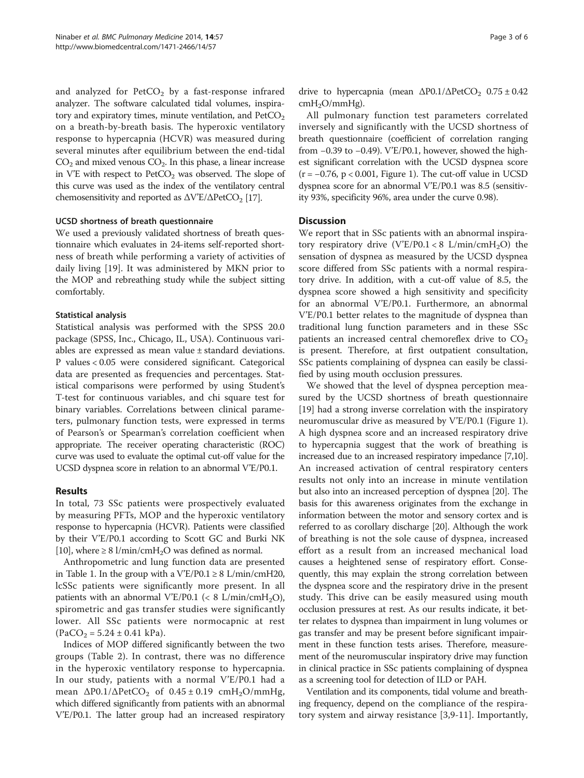and analyzed for  $PetCO<sub>2</sub>$  by a fast-response infrared analyzer. The software calculated tidal volumes, inspiratory and expiratory times, minute ventilation, and  $PetCO<sub>2</sub>$ on a breath-by-breath basis. The hyperoxic ventilatory response to hypercapnia (HCVR) was measured during several minutes after equilibrium between the end-tidal  $CO<sub>2</sub>$  and mixed venous  $CO<sub>2</sub>$ . In this phase, a linear increase in V'E with respect to  $PetCO<sub>2</sub>$  was observed. The slope of this curve was used as the index of the ventilatory central chemosensitivity and reported as  $\Delta V'E/\Delta PetCO_2$  [\[17\]](#page-5-0).

### UCSD shortness of breath questionnaire

We used a previously validated shortness of breath questionnaire which evaluates in 24-items self-reported shortness of breath while performing a variety of activities of daily living [[19](#page-5-0)]. It was administered by MKN prior to the MOP and rebreathing study while the subject sitting comfortably.

#### Statistical analysis

Statistical analysis was performed with the SPSS 20.0 package (SPSS, Inc., Chicago, IL, USA). Continuous variables are expressed as mean value ± standard deviations. P values < 0.05 were considered significant. Categorical data are presented as frequencies and percentages. Statistical comparisons were performed by using Student's T-test for continuous variables, and chi square test for binary variables. Correlations between clinical parameters, pulmonary function tests, were expressed in terms of Pearson's or Spearman's correlation coefficient when appropriate. The receiver operating characteristic (ROC) curve was used to evaluate the optimal cut-off value for the UCSD dyspnea score in relation to an abnormal V'E/P0.1.

#### Results

In total, 73 SSc patients were prospectively evaluated by measuring PFTs, MOP and the hyperoxic ventilatory response to hypercapnia (HCVR). Patients were classified by their V'E/P0.1 according to Scott GC and Burki NK [[10](#page-5-0)], where  $\geq 8$  l/min/cmH<sub>2</sub>O was defined as normal.

Anthropometric and lung function data are presented in Table [1](#page-3-0). In the group with a  $V'E/PO.1 \geq 8$  L/min/cmH20, lcSSc patients were significantly more present. In all patients with an abnormal V'E/P0.1 (< 8 L/min/cmH<sub>2</sub>O), spirometric and gas transfer studies were significantly lower. All SSc patients were normocapnic at rest  $(PaCO<sub>2</sub> = 5.24 \pm 0.41 \text{ kPa}).$ 

Indices of MOP differed significantly between the two groups (Table [2\)](#page-3-0). In contrast, there was no difference in the hyperoxic ventilatory response to hypercapnia. In our study, patients with a normal V'E/P0.1 had a mean  $\Delta$ P0.1/ $\Delta$ PetCO<sub>2</sub> of 0.45 ± 0.19 cmH<sub>2</sub>O/mmHg, which differed significantly from patients with an abnormal V'E/P0.1. The latter group had an increased respiratory

drive to hypercapnia (mean  $\Delta$ P0.1/ $\Delta$ PetCO<sub>2</sub> 0.75 ± 0.42  $cmH<sub>2</sub>O/mmHg$ ).

All pulmonary function test parameters correlated inversely and significantly with the UCSD shortness of breath questionnaire (coefficient of correlation ranging from −0.39 to −0.49). V'E/P0.1, however, showed the highest significant correlation with the UCSD dyspnea score (r = −0.76, p < 0.001, Figure [1\)](#page-4-0). The cut-off value in UCSD dyspnea score for an abnormal V'E/P0.1 was 8.5 (sensitivity 93%, specificity 96%, area under the curve 0.98).

# **Discussion**

We report that in SSc patients with an abnormal inspiratory respiratory drive  $(V'E/P0.1 < 8 L/min/cmH<sub>2</sub>O)$  the sensation of dyspnea as measured by the UCSD dyspnea score differed from SSc patients with a normal respiratory drive. In addition, with a cut-off value of 8.5, the dyspnea score showed a high sensitivity and specificity for an abnormal V'E/P0.1. Furthermore, an abnormal V'E/P0.1 better relates to the magnitude of dyspnea than traditional lung function parameters and in these SSc patients an increased central chemoreflex drive to  $CO<sub>2</sub>$ is present. Therefore, at first outpatient consultation, SSc patients complaining of dyspnea can easily be classified by using mouth occlusion pressures.

We showed that the level of dyspnea perception measured by the UCSD shortness of breath questionnaire [[19\]](#page-5-0) had a strong inverse correlation with the inspiratory neuromuscular drive as measured by V'E/P0.1 (Figure [1](#page-4-0)). A high dyspnea score and an increased respiratory drive to hypercapnia suggest that the work of breathing is increased due to an increased respiratory impedance [\[7,10](#page-5-0)]. An increased activation of central respiratory centers results not only into an increase in minute ventilation but also into an increased perception of dyspnea [\[20\]](#page-5-0). The basis for this awareness originates from the exchange in information between the motor and sensory cortex and is referred to as corollary discharge [[20](#page-5-0)]. Although the work of breathing is not the sole cause of dyspnea, increased effort as a result from an increased mechanical load causes a heightened sense of respiratory effort. Consequently, this may explain the strong correlation between the dyspnea score and the respiratory drive in the present study. This drive can be easily measured using mouth occlusion pressures at rest. As our results indicate, it better relates to dyspnea than impairment in lung volumes or gas transfer and may be present before significant impairment in these function tests arises. Therefore, measurement of the neuromuscular inspiratory drive may function in clinical practice in SSc patients complaining of dyspnea as a screening tool for detection of ILD or PAH.

Ventilation and its components, tidal volume and breathing frequency, depend on the compliance of the respiratory system and airway resistance [[3,9](#page-5-0)-[11](#page-5-0)]. Importantly,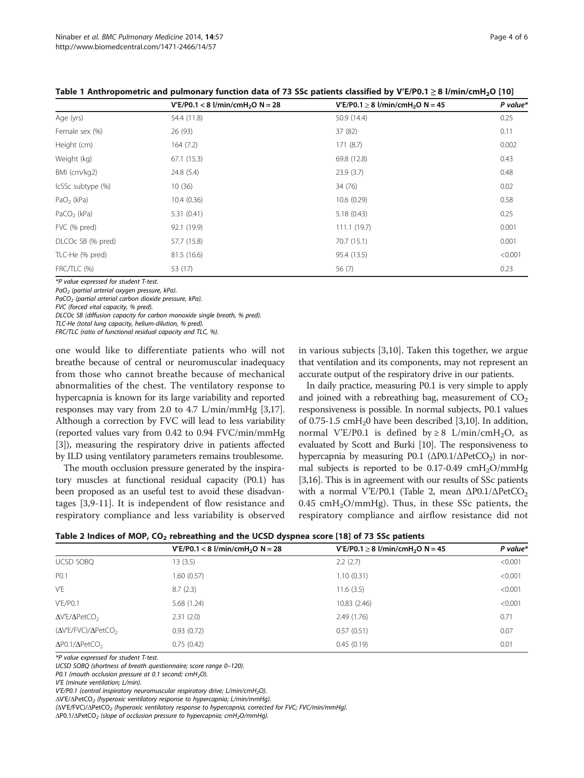|                   | $V'E/PO.1 < 8$ l/min/cmH <sub>2</sub> O N = 28 | $V'E/PO.1 \ge 8$ l/min/cmH <sub>2</sub> O N = 45 | P value* |
|-------------------|------------------------------------------------|--------------------------------------------------|----------|
| Age (yrs)         | 54.4 (11.8)                                    | 50.9 (14.4)                                      | 0.25     |
| Female sex (%)    | 26 (93)                                        | 37 (82)                                          | 0.11     |
| Height (cm)       | 164(7.2)                                       | 171(8.7)                                         | 0.002    |
| Weight (kg)       | 67.1(15.3)                                     | 69.8 (12.8)                                      | 0.43     |
| BMI (cm/kg2)      | 24.8(5.4)                                      | 23.9(3.7)                                        | 0.48     |
| IcSSc subtype (%) | 10(36)                                         | 34 (76)                                          | 0.02     |
| $PaO2$ (kPa)      | 10.4(0.36)                                     | 10.6(0.29)                                       | 0.58     |
| $PaCO2$ (kPa)     | 5.31(0.41)                                     | 5.18(0.43)                                       | 0.25     |
| FVC (% pred)      | 92.1 (19.9)                                    | 111.1(19.7)                                      | 0.001    |
| DLCOc SB (% pred) | 57.7 (15.8)                                    | 70.7 (15.1)                                      | 0.001    |
| TLC-He (% pred)   | 81.5 (16.6)                                    | 95.4 (13.5)                                      | < 0.001  |
| FRC/TLC (%)       | 53 (17)                                        | 56 (7)                                           | 0.23     |

<span id="page-3-0"></span>Table 1 Anthropometric and pulmonary function data of 73 SSc patients classified by V'E/P0.1 ≥ 8 l/min/cmH<sub>2</sub>O [\[10](#page-5-0)]

\*P value expressed for student T-test.

 $PaO<sub>2</sub>$  (partial arterial oxygen pressure, kPa).

PaCO<sub>2</sub> (partial arterial carbon dioxide pressure, kPa).

FVC (forced vital capacity, % pred).

DLCOc SB (diffusion capacity for carbon monoxide single breath, % pred).

TLC-He (total lung capacity, helium-dilution, % pred).

FRC/TLC (ratio of functional residual capacity and TLC, %).

one would like to differentiate patients who will not breathe because of central or neuromuscular inadequacy from those who cannot breathe because of mechanical abnormalities of the chest. The ventilatory response to hypercapnia is known for its large variability and reported responses may vary from 2.0 to 4.7 L/min/mmHg [[3,17](#page-5-0)]. Although a correction by FVC will lead to less variability (reported values vary from 0.42 to 0.94 FVC/min/mmHg [[3\]](#page-5-0)), measuring the respiratory drive in patients affected by ILD using ventilatory parameters remains troublesome.

The mouth occlusion pressure generated by the inspiratory muscles at functional residual capacity (P0.1) has been proposed as an useful test to avoid these disadvantages [[3,9](#page-5-0)-[11\]](#page-5-0). It is independent of flow resistance and respiratory compliance and less variability is observed in various subjects [[3,10](#page-5-0)]. Taken this together, we argue that ventilation and its components, may not represent an accurate output of the respiratory drive in our patients.

In daily practice, measuring P0.1 is very simple to apply and joined with a rebreathing bag, measurement of  $CO<sub>2</sub>$ responsiveness is possible. In normal subjects, P0.1 values of 0.75-1.5 cmH<sub>2</sub>0 have been described [[3,10](#page-5-0)]. In addition, normal V'E/P0.1 is defined by  $\geq 8$  L/min/cmH<sub>2</sub>O, as evaluated by Scott and Burki [\[10\]](#page-5-0). The responsiveness to hypercapnia by measuring P0.1 ( $\Delta$ P0.1/ $\Delta$ PetCO<sub>2</sub>) in normal subjects is reported to be  $0.17$ -0.49 cmH<sub>2</sub>O/mmHg [[3,16\]](#page-5-0). This is in agreement with our results of SSc patients with a normal V'E/P0.1 (Table 2, mean  $\Delta$ P0.1/ $\Delta$ PetCO<sub>2</sub> 0.45 cmH<sub>2</sub>O/mmHg). Thus, in these SSc patients, the respiratory compliance and airflow resistance did not

| Table 2 Indices of MOP, CO $_2$ rebreathing and the UCSD dyspnea score [18] of 73 SSc patients |  |
|------------------------------------------------------------------------------------------------|--|
|------------------------------------------------------------------------------------------------|--|

|                                            | $V'E/PO.1 < 8$ l/min/cmH <sub>2</sub> O N = 28 | $V'E/PO.1 \ge 8$ l/min/cmH <sub>2</sub> O N = 45 | P value* |
|--------------------------------------------|------------------------------------------------|--------------------------------------------------|----------|
| UCSD SOBQ                                  | 13(3.5)                                        | 2.2(2.7)                                         | < 0.001  |
| P <sub>0.1</sub>                           | 1.60 (0.57)                                    | 1.10(0.31)                                       | < 0.001  |
| V'E                                        | 8.7(2.3)                                       | 11.6(3.5)                                        | < 0.001  |
| V'E/PO.1                                   | 5.68 (1.24)                                    | 10.83 (2.46)                                     | < 0.001  |
| $\Delta V$ 'E/ $\Delta$ PetCO <sub>2</sub> | 2.31(2.0)                                      | 2.49(1.76)                                       | 0.71     |
| $(\Delta V'E/FVC)/\Delta PetCO2$           | 0.93(0.72)                                     | 0.57(0.51)                                       | 0.07     |
| $\Delta$ P0.1/ $\Delta$ PetCO <sub>2</sub> | 0.75(0.42)                                     | 0.45(0.19)                                       | 0.01     |

\*P value expressed for student T-test.

UCSD SOBQ (shortness of breath questionnaire; score range 0–120).

P0.1 (mouth occlusion pressure at 0.1 second;  $cmH<sub>2</sub>O$ ).

V'E (minute ventilation; L/min).

V'E/P0.1 (central inspiratory neuromuscular respiratory drive; L/min/cmH<sub>2</sub>O).

ΔV'E/ΔPetCO<sub>2</sub> (hyperoxic ventilatory response to hypercapnia; L/min/mmHg).

(ΔV'E/FVC)/ΔPetCO<sup>2</sup> (hyperoxic ventilatory response to hypercapnia, corrected for FVC; FVC/min/mmHg).

ΔP0.1/ΔPetCO<sub>2</sub> (slope of occlusion pressure to hypercapnia; cmH<sub>2</sub>O/mmHq).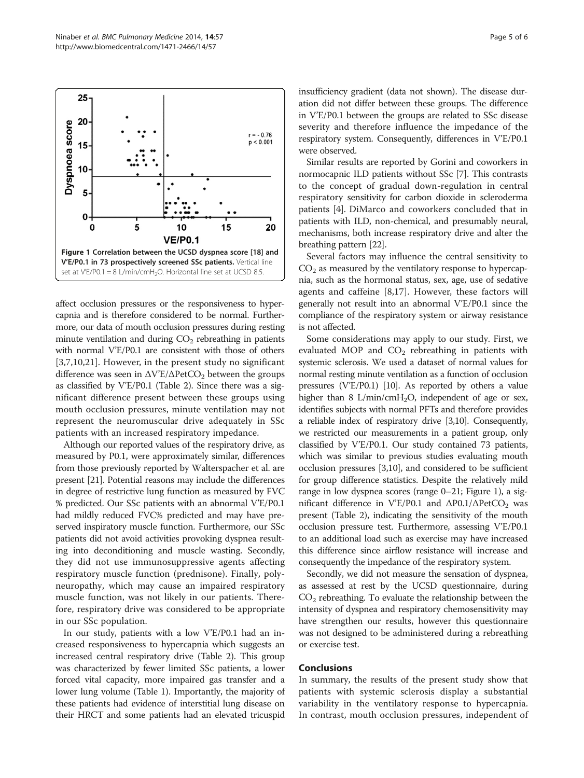affect occlusion pressures or the responsiveness to hypercapnia and is therefore considered to be normal. Furthermore, our data of mouth occlusion pressures during resting minute ventilation and during  $CO<sub>2</sub>$  rebreathing in patients with normal V'E/P0.1 are consistent with those of others [[3,7,10](#page-5-0),[21\]](#page-5-0). However, in the present study no significant difference was seen in  $\Delta$ V'E/ $\Delta$ PetCO<sub>2</sub> between the groups as classified by V'E/P0.1 (Table [2](#page-3-0)). Since there was a significant difference present between these groups using mouth occlusion pressures, minute ventilation may not represent the neuromuscular drive adequately in SSc patients with an increased respiratory impedance.

Although our reported values of the respiratory drive, as measured by P0.1, were approximately similar, differences from those previously reported by Walterspacher et al. are present [\[21\]](#page-5-0). Potential reasons may include the differences in degree of restrictive lung function as measured by FVC % predicted. Our SSc patients with an abnormal V'E/P0.1 had mildly reduced FVC% predicted and may have preserved inspiratory muscle function. Furthermore, our SSc patients did not avoid activities provoking dyspnea resulting into deconditioning and muscle wasting. Secondly, they did not use immunosuppressive agents affecting respiratory muscle function (prednisone). Finally, polyneuropathy, which may cause an impaired respiratory muscle function, was not likely in our patients. Therefore, respiratory drive was considered to be appropriate in our SSc population.

In our study, patients with a low V'E/P0.1 had an increased responsiveness to hypercapnia which suggests an increased central respiratory drive (Table [2](#page-3-0)). This group was characterized by fewer limited SSc patients, a lower forced vital capacity, more impaired gas transfer and a lower lung volume (Table [1\)](#page-3-0). Importantly, the majority of these patients had evidence of interstitial lung disease on their HRCT and some patients had an elevated tricuspid insufficiency gradient (data not shown). The disease duration did not differ between these groups. The difference in V'E/P0.1 between the groups are related to SSc disease severity and therefore influence the impedance of the respiratory system. Consequently, differences in V'E/P0.1 were observed.

Similar results are reported by Gorini and coworkers in normocapnic ILD patients without SSc [\[7](#page-5-0)]. This contrasts to the concept of gradual down-regulation in central respiratory sensitivity for carbon dioxide in scleroderma patients [[4\]](#page-5-0). DiMarco and coworkers concluded that in patients with ILD, non-chemical, and presumably neural, mechanisms, both increase respiratory drive and alter the breathing pattern [[22](#page-5-0)].

Several factors may influence the central sensitivity to  $CO<sub>2</sub>$  as measured by the ventilatory response to hypercapnia, such as the hormonal status, sex, age, use of sedative agents and caffeine [[8,17](#page-5-0)]. However, these factors will generally not result into an abnormal V'E/P0.1 since the compliance of the respiratory system or airway resistance is not affected.

Some considerations may apply to our study. First, we evaluated MOP and  $CO<sub>2</sub>$  rebreathing in patients with systemic sclerosis. We used a dataset of normal values for normal resting minute ventilation as a function of occlusion pressures (V'E/P0.1) [[10](#page-5-0)]. As reported by others a value higher than 8  $L/min/cmH<sub>2</sub>O$ , independent of age or sex, identifies subjects with normal PFTs and therefore provides a reliable index of respiratory drive [\[3,10](#page-5-0)]. Consequently, we restricted our measurements in a patient group, only classified by V'E/P0.1. Our study contained 73 patients, which was similar to previous studies evaluating mouth occlusion pressures [\[3,10\]](#page-5-0), and considered to be sufficient for group difference statistics. Despite the relatively mild range in low dyspnea scores (range 0–21; Figure 1), a significant difference in V'E/P0.1 and  $ΔP0.1/ΔPetCO<sub>2</sub>$  was present (Table [2\)](#page-3-0), indicating the sensitivity of the mouth occlusion pressure test. Furthermore, assessing V'E/P0.1 to an additional load such as exercise may have increased this difference since airflow resistance will increase and consequently the impedance of the respiratory system.

Secondly, we did not measure the sensation of dyspnea, as assessed at rest by the UCSD questionnaire, during  $CO<sub>2</sub>$  rebreathing. To evaluate the relationship between the intensity of dyspnea and respiratory chemosensitivity may have strengthen our results, however this questionnaire was not designed to be administered during a rebreathing or exercise test.

#### Conclusions

In summary, the results of the present study show that patients with systemic sclerosis display a substantial variability in the ventilatory response to hypercapnia. In contrast, mouth occlusion pressures, independent of

<span id="page-4-0"></span>